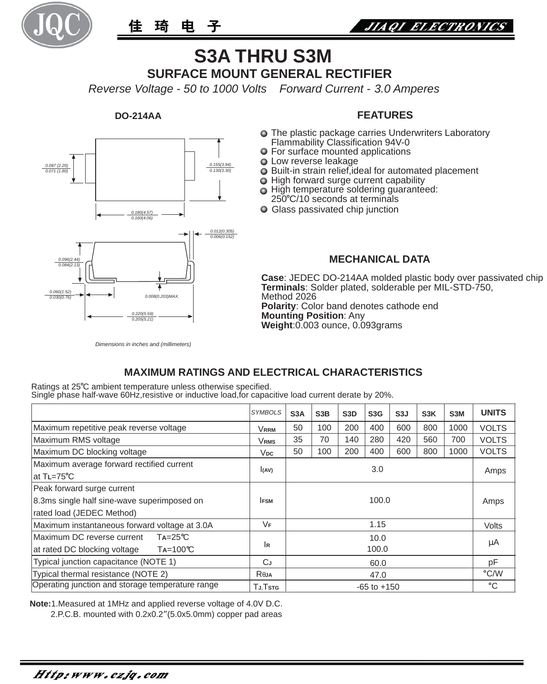

佳琦电 子



# **S3A THRU S3M SURFACE MOUNT GENERAL RECTIFIER**

*Reverse Voltage - 50 to 1000 Volts Forward Current - 3.0 Amperes*

### **DO-214AA**



## **FEATURES**

- The plastic package carries Underwriters Laboratory Flammability Classification 94V-0
- For surface mounted applications
- **Q** Low reverse leakage
- $\bullet$  Built-in strain relief, ideal for automated placement
- $\bigcirc$  High forward surge current capability
- $\bigcirc$  High temperature soldering guaranteed:
- 250 C/10 seconds at terminals
- Glass passivated chip junction

### **MECHANICAL DATA**

**Case**: JEDEC DO-214AA molded plastic body over passivated chip **Terminals**: Solder plated, solderable per MIL-STD-750, Method 2026 **Polarity**: Color band denotes cathode end **Mounting Position**: Any **Weight**:0.003 ounce, 0.093grams

#### *Dimensions in inches and (millimeters)*

## **MAXIMUM RATINGS AND ELECTRICAL CHARACTERISTICS**

Ratings at 25°C ambient temperature unless otherwise specified. Single phase half-wave 60Hz, resistive or inductive load, for capacitive load current derate by 20%.

|                                                                                                        | <b>SYMBOLS</b>   | S <sub>3</sub> A | S <sub>3</sub> B | S <sub>3</sub> D | S <sub>3</sub> G | S <sub>3</sub> J | S <sub>3</sub> K | S <sub>3</sub> M | <b>UNITS</b> |
|--------------------------------------------------------------------------------------------------------|------------------|------------------|------------------|------------------|------------------|------------------|------------------|------------------|--------------|
| Maximum repetitive peak reverse voltage                                                                | VRRM             | 50               | 100              | 200              | 400              | 600              | 800              | 1000             | <b>VOLTS</b> |
| Maximum RMS voltage                                                                                    | <b>VRMS</b>      | 35               | 70               | 140              | 280              | 420              | 560              | 700              | <b>VOLTS</b> |
| Maximum DC blocking voltage                                                                            | V <sub>DC</sub>  | 50               | 100              | 200              | 400              | 600              | 800              | 1000             | <b>VOLTS</b> |
| Maximum average forward rectified current<br>lat T∟=75℃                                                | (AV)             | 3.0              |                  |                  |                  |                  |                  | Amps             |              |
| Peak forward surge current<br>8.3ms single half sine-wave superimposed on<br>rated load (JEDEC Method) | <b>IFSM</b>      | 100.0            |                  |                  |                  |                  |                  |                  | Amps         |
| Maximum instantaneous forward voltage at 3.0A                                                          | VF               | 1.15             |                  |                  |                  |                  |                  |                  | <b>Volts</b> |
| $Ta = 25^{\circ}C$<br>Maximum DC reverse current<br>at rated DC blocking voltage<br>$Ta=100^{\circ}C$  | İR               | 10.0<br>100.0    |                  |                  |                  |                  |                  |                  | μA           |
| Typical junction capacitance (NOTE 1)                                                                  | CJ               | 60.0             |                  |                  |                  |                  |                  | рF               |              |
| Typical thermal resistance (NOTE 2)                                                                    | R <sub>θJA</sub> | 47.0             |                  |                  |                  |                  |                  | °C/W             |              |
| Operating junction and storage temperature range                                                       | TJ.Tstg          | $-65$ to $+150$  |                  |                  |                  |                  |                  |                  | °C           |

**Note:**1.Measured at 1MHz and applied reverse voltage of 4.0V D.C.

2.P.C.B. mounted with 0.2x0.2"(5.0x5.0mm) copper pad areas